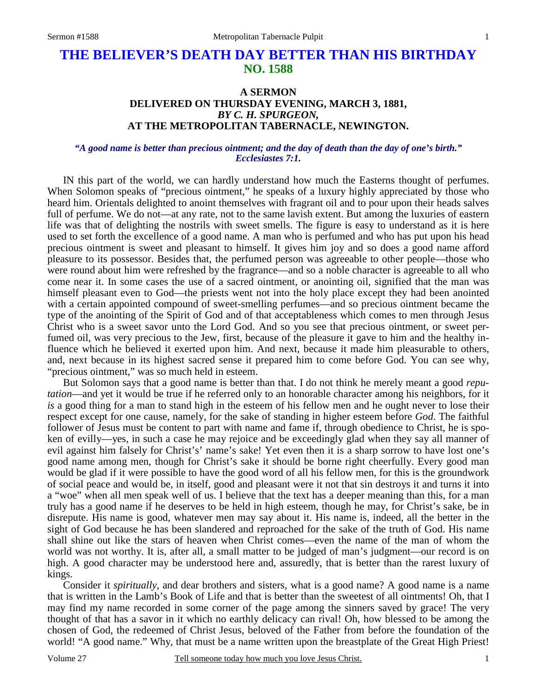**NO. 1588** 

# **A SERMON DELIVERED ON THURSDAY EVENING, MARCH 3, 1881,**  *BY C. H. SPURGEON,*  **AT THE METROPOLITAN TABERNACLE, NEWINGTON.**

#### *"A good name is better than precious ointment; and the day of death than the day of one's birth." Ecclesiastes 7:1.*

IN this part of the world, we can hardly understand how much the Easterns thought of perfumes. When Solomon speaks of "precious ointment," he speaks of a luxury highly appreciated by those who heard him. Orientals delighted to anoint themselves with fragrant oil and to pour upon their heads salves full of perfume. We do not—at any rate, not to the same lavish extent. But among the luxuries of eastern life was that of delighting the nostrils with sweet smells. The figure is easy to understand as it is here used to set forth the excellence of a good name. A man who is perfumed and who has put upon his head precious ointment is sweet and pleasant to himself. It gives him joy and so does a good name afford pleasure to its possessor. Besides that, the perfumed person was agreeable to other people—those who were round about him were refreshed by the fragrance—and so a noble character is agreeable to all who come near it. In some cases the use of a sacred ointment, or anointing oil, signified that the man was himself pleasant even to God—the priests went not into the holy place except they had been anointed with a certain appointed compound of sweet-smelling perfumes—and so precious ointment became the type of the anointing of the Spirit of God and of that acceptableness which comes to men through Jesus Christ who is a sweet savor unto the Lord God. And so you see that precious ointment, or sweet perfumed oil, was very precious to the Jew, first, because of the pleasure it gave to him and the healthy influence which he believed it exerted upon him. And next, because it made him pleasurable to others, and, next because in its highest sacred sense it prepared him to come before God. You can see why, "precious ointment," was so much held in esteem.

 But Solomon says that a good name is better than that. I do not think he merely meant a good *reputation*—and yet it would be true if he referred only to an honorable character among his neighbors, for it *is* a good thing for a man to stand high in the esteem of his fellow men and he ought never to lose their respect except for one cause, namely, for the sake of standing in higher esteem before *God*. The faithful follower of Jesus must be content to part with name and fame if, through obedience to Christ, he is spoken of evilly—yes, in such a case he may rejoice and be exceedingly glad when they say all manner of evil against him falsely for Christ's' name's sake! Yet even then it is a sharp sorrow to have lost one's good name among men, though for Christ's sake it should be borne right cheerfully. Every good man would be glad if it were possible to have the good word of all his fellow men, for this is the groundwork of social peace and would be, in itself, good and pleasant were it not that sin destroys it and turns it into a "woe" when all men speak well of us. I believe that the text has a deeper meaning than this, for a man truly has a good name if he deserves to be held in high esteem, though he may, for Christ's sake, be in disrepute. His name is good, whatever men may say about it. His name is, indeed, all the better in the sight of God because he has been slandered and reproached for the sake of the truth of God. His name shall shine out like the stars of heaven when Christ comes—even the name of the man of whom the world was not worthy. It is, after all, a small matter to be judged of man's judgment—our record is on high. A good character may be understood here and, assuredly, that is better than the rarest luxury of kings.

 Consider it *spiritually,* and dear brothers and sisters, what is a good name? A good name is a name that is written in the Lamb's Book of Life and that is better than the sweetest of all ointments! Oh, that I may find my name recorded in some corner of the page among the sinners saved by grace! The very thought of that has a savor in it which no earthly delicacy can rival! Oh, how blessed to be among the chosen of God, the redeemed of Christ Jesus, beloved of the Father from before the foundation of the world! "A good name." Why, that must be a name written upon the breastplate of the Great High Priest!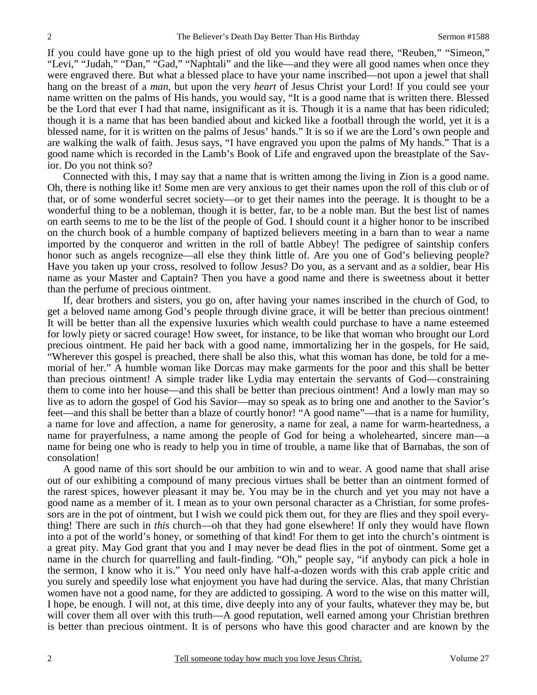If you could have gone up to the high priest of old you would have read there, "Reuben," "Simeon," "Levi," "Judah," "Dan," "Gad," "Naphtali" and the like—and they were all good names when once they were engraved there. But what a blessed place to have your name inscribed—not upon a jewel that shall hang on the breast of a *man*, but upon the very *heart* of Jesus Christ your Lord! If you could see your name written on the palms of His hands, you would say, "It is a good name that is written there. Blessed be the Lord that ever I had that name, insignificant as it is. Though it is a name that has been ridiculed; though it is a name that has been bandied about and kicked like a football through the world, yet it is a blessed name, for it is written on the palms of Jesus' hands." It is so if we are the Lord's own people and are walking the walk of faith. Jesus says, "I have engraved you upon the palms of My hands." That is a good name which is recorded in the Lamb's Book of Life and engraved upon the breastplate of the Savior. Do you not think so?

 Connected with this, I may say that a name that is written among the living in Zion is a good name. Oh, there is nothing like it! Some men are very anxious to get their names upon the roll of this club or of that, or of some wonderful secret society—or to get their names into the peerage. It is thought to be a wonderful thing to be a nobleman, though it is better, far, to be a noble man. But the best list of names on earth seems to me to be the list of the people of God. I should count it a higher honor to be inscribed on the church book of a humble company of baptized believers meeting in a barn than to wear a name imported by the conqueror and written in the roll of battle Abbey! The pedigree of saintship confers honor such as angels recognize—all else they think little of. Are you one of God's believing people? Have you taken up your cross, resolved to follow Jesus? Do you, as a servant and as a soldier, bear His name as your Master and Captain? Then you have a good name and there is sweetness about it better than the perfume of precious ointment.

 If, dear brothers and sisters, you go on, after having your names inscribed in the church of God, to get a beloved name among God's people through divine grace, it will be better than precious ointment! It will be better than all the expensive luxuries which wealth could purchase to have a name esteemed for lowly piety or sacred courage! How sweet, for instance, to be like that woman who brought our Lord precious ointment. He paid her back with a good name, immortalizing her in the gospels, for He said, "Wherever this gospel is preached, there shall be also this, what this woman has done, be told for a memorial of her." A humble woman like Dorcas may make garments for the poor and this shall be better than precious ointment! A simple trader like Lydia may entertain the servants of God—constraining them to come into her house—and this shall be better than precious ointment! And a lowly man may so live as to adorn the gospel of God his Savior—may so speak as to bring one and another to the Savior's feet—and this shall be better than a blaze of courtly honor! "A good name"—that is a name for humility, a name for love and affection, a name for generosity, a name for zeal, a name for warm-heartedness, a name for prayerfulness, a name among the people of God for being a wholehearted, sincere man—a name for being one who is ready to help you in time of trouble, a name like that of Barnabas, the son of consolation!

 A good name of this sort should be our ambition to win and to wear. A good name that shall arise out of our exhibiting a compound of many precious virtues shall be better than an ointment formed of the rarest spices, however pleasant it may be. You may be in the church and yet you may not have a good name as a member of it. I mean as to your own personal character as a Christian, for some professors are in the pot of ointment, but I wish we could pick them out, for they are flies and they spoil everything! There are such in *this* church—oh that they had gone elsewhere! If only they would have flown into a pot of the world's honey, or something of that kind! For them to get into the church's ointment is a great pity. May God grant that you and I may never be dead flies in the pot of ointment. Some get a name in the church for quarrelling and fault-finding. "Oh," people say, "if anybody can pick a hole in the sermon, I know who it is." You need only have half-a-dozen words with this crab apple critic and you surely and speedily lose what enjoyment you have had during the service. Alas, that many Christian women have not a good name, for they are addicted to gossiping. A word to the wise on this matter will, I hope, be enough. I will not, at this time, dive deeply into any of your faults, whatever they may be, but will cover them all over with this truth—A good reputation, well earned among your Christian brethren is better than precious ointment. It is of persons who have this good character and are known by the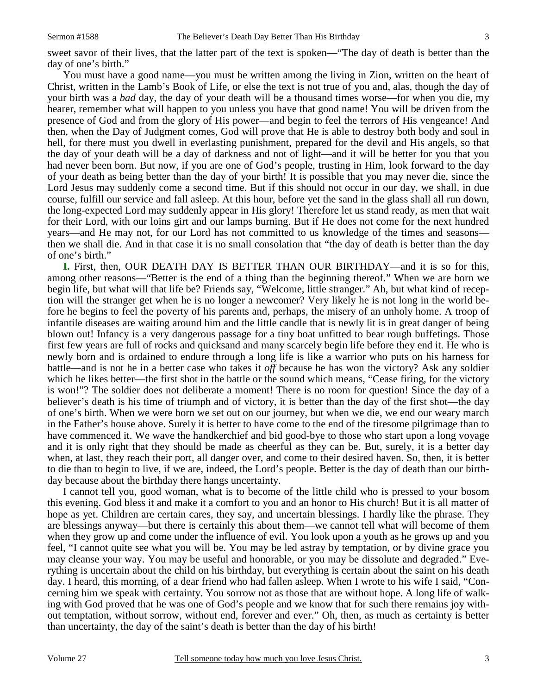sweet savor of their lives, that the latter part of the text is spoken—"The day of death is better than the day of one's birth."

 You must have a good name—you must be written among the living in Zion, written on the heart of Christ, written in the Lamb's Book of Life, or else the text is not true of you and, alas, though the day of your birth was a *bad* day, the day of your death will be a thousand times worse—for when you die, my hearer, remember what will happen to you unless you have that good name! You will be driven from the presence of God and from the glory of His power—and begin to feel the terrors of His vengeance! And then, when the Day of Judgment comes, God will prove that He is able to destroy both body and soul in hell, for there must you dwell in everlasting punishment, prepared for the devil and His angels, so that the day of your death will be a day of darkness and not of light—and it will be better for you that you had never been born. But now, if you are one of God's people, trusting in Him, look forward to the day of your death as being better than the day of your birth! It is possible that you may never die, since the Lord Jesus may suddenly come a second time. But if this should not occur in our day, we shall, in due course, fulfill our service and fall asleep. At this hour, before yet the sand in the glass shall all run down, the long-expected Lord may suddenly appear in His glory! Therefore let us stand ready, as men that wait for their Lord, with our loins girt and our lamps burning. But if He does not come for the next hundred years—and He may not, for our Lord has not committed to us knowledge of the times and seasons then we shall die. And in that case it is no small consolation that "the day of death is better than the day of one's birth."

**I.** First, then, OUR DEATH DAY IS BETTER THAN OUR BIRTHDAY—and it is so for this, among other reasons—"Better is the end of a thing than the beginning thereof." When we are born we begin life, but what will that life be? Friends say, "Welcome, little stranger." Ah, but what kind of reception will the stranger get when he is no longer a newcomer? Very likely he is not long in the world before he begins to feel the poverty of his parents and, perhaps, the misery of an unholy home. A troop of infantile diseases are waiting around him and the little candle that is newly lit is in great danger of being blown out! Infancy is a very dangerous passage for a tiny boat unfitted to bear rough buffetings. Those first few years are full of rocks and quicksand and many scarcely begin life before they end it. He who is newly born and is ordained to endure through a long life is like a warrior who puts on his harness for battle—and is not he in a better case who takes it *off* because he has won the victory? Ask any soldier which he likes better—the first shot in the battle or the sound which means, "Cease firing, for the victory is won!"? The soldier does not deliberate a moment! There is no room for question! Since the day of a believer's death is his time of triumph and of victory, it is better than the day of the first shot—the day of one's birth. When we were born we set out on our journey, but when we die, we end our weary march in the Father's house above. Surely it is better to have come to the end of the tiresome pilgrimage than to have commenced it. We wave the handkerchief and bid good-bye to those who start upon a long voyage and it is only right that they should be made as cheerful as they can be. But, surely, it is a better day when, at last, they reach their port, all danger over, and come to their desired haven. So, then, it is better to die than to begin to live, if we are, indeed, the Lord's people. Better is the day of death than our birthday because about the birthday there hangs uncertainty.

 I cannot tell you, good woman, what is to become of the little child who is pressed to your bosom this evening. God bless it and make it a comfort to you and an honor to His church! But it is all matter of hope as yet. Children are certain cares, they say, and uncertain blessings. I hardly like the phrase. They are blessings anyway—but there is certainly this about them—we cannot tell what will become of them when they grow up and come under the influence of evil. You look upon a youth as he grows up and you feel, "I cannot quite see what you will be. You may be led astray by temptation, or by divine grace you may cleanse your way. You may be useful and honorable, or you may be dissolute and degraded." Everything is uncertain about the child on his birthday, but everything is certain about the saint on his death day. I heard, this morning, of a dear friend who had fallen asleep. When I wrote to his wife I said, "Concerning him we speak with certainty. You sorrow not as those that are without hope. A long life of walking with God proved that he was one of God's people and we know that for such there remains joy without temptation, without sorrow, without end, forever and ever." Oh, then, as much as certainty is better than uncertainty, the day of the saint's death is better than the day of his birth!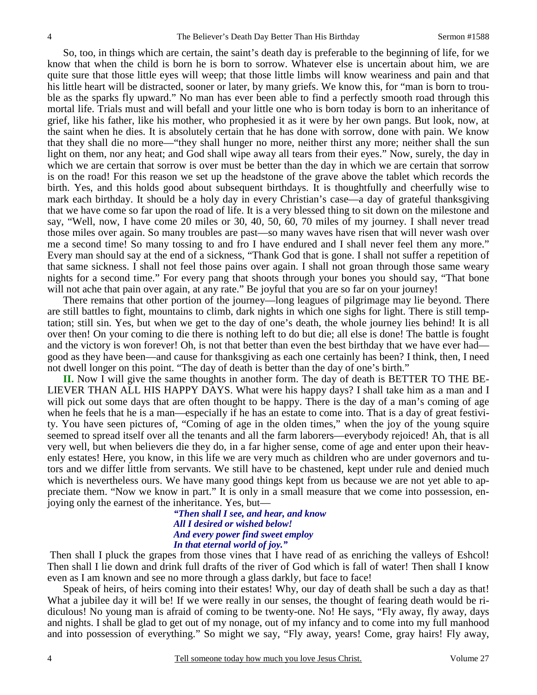So, too, in things which are certain, the saint's death day is preferable to the beginning of life, for we know that when the child is born he is born to sorrow. Whatever else is uncertain about him, we are quite sure that those little eyes will weep; that those little limbs will know weariness and pain and that his little heart will be distracted, sooner or later, by many griefs. We know this, for "man is born to trouble as the sparks fly upward." No man has ever been able to find a perfectly smooth road through this mortal life. Trials must and will befall and your little one who is born today is born to an inheritance of grief, like his father, like his mother, who prophesied it as it were by her own pangs. But look, now, at the saint when he dies. It is absolutely certain that he has done with sorrow, done with pain. We know that they shall die no more—"they shall hunger no more, neither thirst any more; neither shall the sun light on them, nor any heat; and God shall wipe away all tears from their eyes." Now, surely, the day in which we are certain that sorrow is over must be better than the day in which we are certain that sorrow is on the road! For this reason we set up the headstone of the grave above the tablet which records the birth. Yes, and this holds good about subsequent birthdays. It is thoughtfully and cheerfully wise to mark each birthday. It should be a holy day in every Christian's case—a day of grateful thanksgiving that we have come so far upon the road of life. It is a very blessed thing to sit down on the milestone and say, "Well, now, I have come 20 miles or 30, 40, 50, 60, 70 miles of my journey. I shall never tread those miles over again. So many troubles are past—so many waves have risen that will never wash over me a second time! So many tossing to and fro I have endured and I shall never feel them any more." Every man should say at the end of a sickness, "Thank God that is gone. I shall not suffer a repetition of that same sickness. I shall not feel those pains over again. I shall not groan through those same weary nights for a second time." For every pang that shoots through your bones you should say, "That bone will not ache that pain over again, at any rate." Be joyful that you are so far on your journey!

 There remains that other portion of the journey—long leagues of pilgrimage may lie beyond. There are still battles to fight, mountains to climb, dark nights in which one sighs for light. There is still temptation; still sin. Yes, but when we get to the day of one's death, the whole journey lies behind! It is all over then! On your coming to die there is nothing left to do but die; all else is done! The battle is fought and the victory is won forever! Oh, is not that better than even the best birthday that we have ever hadgood as they have been—and cause for thanksgiving as each one certainly has been? I think, then, I need not dwell longer on this point. "The day of death is better than the day of one's birth."

**II.** Now I will give the same thoughts in another form. The day of death is BETTER TO THE BE-LIEVER THAN ALL HIS HAPPY DAYS. What were his happy days? I shall take him as a man and I will pick out some days that are often thought to be happy. There is the day of a man's coming of age when he feels that he is a man—especially if he has an estate to come into. That is a day of great festivity. You have seen pictures of, "Coming of age in the olden times," when the joy of the young squire seemed to spread itself over all the tenants and all the farm laborers—everybody rejoiced! Ah, that is all very well, but when believers die they do, in a far higher sense, come of age and enter upon their heavenly estates! Here, you know, in this life we are very much as children who are under governors and tutors and we differ little from servants. We still have to be chastened, kept under rule and denied much which is nevertheless ours. We have many good things kept from us because we are not yet able to appreciate them. "Now we know in part." It is only in a small measure that we come into possession, enjoying only the earnest of the inheritance. Yes, but—

> *"Then shall I see, and hear, and know All I desired or wished below! And every power find sweet employ In that eternal world of joy."*

Then shall I pluck the grapes from those vines that I have read of as enriching the valleys of Eshcol! Then shall I lie down and drink full drafts of the river of God which is fall of water! Then shall I know even as I am known and see no more through a glass darkly, but face to face!

 Speak of heirs, of heirs coming into their estates! Why, our day of death shall be such a day as that! What a jubilee day it will be! If we were really in our senses, the thought of fearing death would be ridiculous! No young man is afraid of coming to be twenty-one. No! He says, "Fly away, fly away, days and nights. I shall be glad to get out of my nonage, out of my infancy and to come into my full manhood and into possession of everything." So might we say, "Fly away, years! Come, gray hairs! Fly away,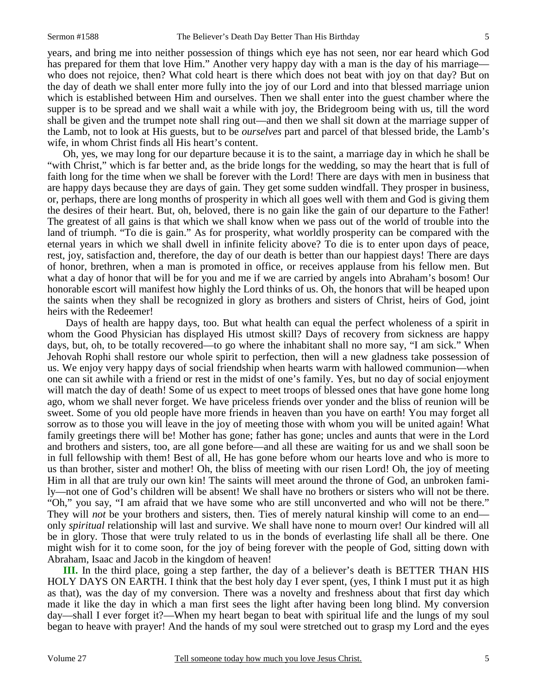years, and bring me into neither possession of things which eye has not seen, nor ear heard which God has prepared for them that love Him." Another very happy day with a man is the day of his marriage who does not rejoice, then? What cold heart is there which does not beat with joy on that day? But on the day of death we shall enter more fully into the joy of our Lord and into that blessed marriage union which is established between Him and ourselves. Then we shall enter into the guest chamber where the supper is to be spread and we shall wait a while with joy, the Bridegroom being with us, till the word shall be given and the trumpet note shall ring out—and then we shall sit down at the marriage supper of the Lamb, not to look at His guests, but to be *ourselves* part and parcel of that blessed bride, the Lamb's wife, in whom Christ finds all His heart's content.

 Oh, yes, we may long for our departure because it is to the saint, a marriage day in which he shall be "with Christ," which is far better and, as the bride longs for the wedding, so may the heart that is full of faith long for the time when we shall be forever with the Lord! There are days with men in business that are happy days because they are days of gain. They get some sudden windfall. They prosper in business, or, perhaps, there are long months of prosperity in which all goes well with them and God is giving them the desires of their heart. But, oh, beloved, there is no gain like the gain of our departure to the Father! The greatest of all gains is that which we shall know when we pass out of the world of trouble into the land of triumph. "To die is gain." As for prosperity, what worldly prosperity can be compared with the eternal years in which we shall dwell in infinite felicity above? To die is to enter upon days of peace, rest, joy, satisfaction and, therefore, the day of our death is better than our happiest days! There are days of honor, brethren, when a man is promoted in office, or receives applause from his fellow men. But what a day of honor that will be for you and me if we are carried by angels into Abraham's bosom! Our honorable escort will manifest how highly the Lord thinks of us. Oh, the honors that will be heaped upon the saints when they shall be recognized in glory as brothers and sisters of Christ, heirs of God, joint heirs with the Redeemer!

 Days of health are happy days, too. But what health can equal the perfect wholeness of a spirit in whom the Good Physician has displayed His utmost skill? Days of recovery from sickness are happy days, but, oh, to be totally recovered—to go where the inhabitant shall no more say, "I am sick." When Jehovah Rophi shall restore our whole spirit to perfection, then will a new gladness take possession of us. We enjoy very happy days of social friendship when hearts warm with hallowed communion—when one can sit awhile with a friend or rest in the midst of one's family. Yes, but no day of social enjoyment will match the day of death! Some of us expect to meet troops of blessed ones that have gone home long ago, whom we shall never forget. We have priceless friends over yonder and the bliss of reunion will be sweet. Some of you old people have more friends in heaven than you have on earth! You may forget all sorrow as to those you will leave in the joy of meeting those with whom you will be united again! What family greetings there will be! Mother has gone; father has gone; uncles and aunts that were in the Lord and brothers and sisters, too, are all gone before—and all these are waiting for us and we shall soon be in full fellowship with them! Best of all, He has gone before whom our hearts love and who is more to us than brother, sister and mother! Oh, the bliss of meeting with our risen Lord! Oh, the joy of meeting Him in all that are truly our own kin! The saints will meet around the throne of God, an unbroken family—not one of God's children will be absent! We shall have no brothers or sisters who will not be there. "Oh," you say, "I am afraid that we have some who are still unconverted and who will not be there." They will *not* be your brothers and sisters, then. Ties of merely natural kinship will come to an end only *spiritual* relationship will last and survive. We shall have none to mourn over! Our kindred will all be in glory. Those that were truly related to us in the bonds of everlasting life shall all be there. One might wish for it to come soon, for the joy of being forever with the people of God, sitting down with Abraham, Isaac and Jacob in the kingdom of heaven!

**III.** In the third place, going a step farther, the day of a believer's death is BETTER THAN HIS HOLY DAYS ON EARTH. I think that the best holy day I ever spent, (yes, I think I must put it as high as that), was the day of my conversion. There was a novelty and freshness about that first day which made it like the day in which a man first sees the light after having been long blind. My conversion day—shall I ever forget it?—When my heart began to beat with spiritual life and the lungs of my soul began to heave with prayer! And the hands of my soul were stretched out to grasp my Lord and the eyes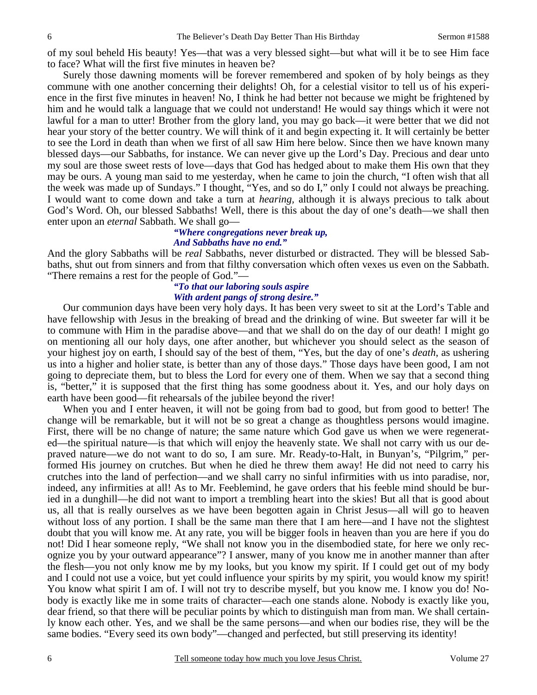of my soul beheld His beauty! Yes—that was a very blessed sight—but what will it be to see Him face to face? What will the first five minutes in heaven be?

 Surely those dawning moments will be forever remembered and spoken of by holy beings as they commune with one another concerning their delights! Oh, for a celestial visitor to tell us of his experience in the first five minutes in heaven! No, I think he had better not because we might be frightened by him and he would talk a language that we could not understand! He would say things which it were not lawful for a man to utter! Brother from the glory land, you may go back—it were better that we did not hear your story of the better country. We will think of it and begin expecting it. It will certainly be better to see the Lord in death than when we first of all saw Him here below. Since then we have known many blessed days—our Sabbaths, for instance. We can never give up the Lord's Day. Precious and dear unto my soul are those sweet rests of love—days that God has hedged about to make them His own that they may be ours. A young man said to me yesterday, when he came to join the church, "I often wish that all the week was made up of Sundays." I thought, "Yes, and so do I," only I could not always be preaching. I would want to come down and take a turn at *hearing,* although it is always precious to talk about God's Word. Oh, our blessed Sabbaths! Well, there is this about the day of one's death—we shall then enter upon an *eternal* Sabbath. We shall go—

### *"Where congregations never break up, And Sabbaths have no end."*

And the glory Sabbaths will be *real* Sabbaths, never disturbed or distracted. They will be blessed Sabbaths, shut out from sinners and from that filthy conversation which often vexes us even on the Sabbath. "There remains a rest for the people of God."—

### *"To that our laboring souls aspire With ardent pangs of strong desire."*

 Our communion days have been very holy days. It has been very sweet to sit at the Lord's Table and have fellowship with Jesus in the breaking of bread and the drinking of wine. But sweeter far will it be to commune with Him in the paradise above—and that we shall do on the day of our death! I might go on mentioning all our holy days, one after another, but whichever you should select as the season of your highest joy on earth, I should say of the best of them, "Yes, but the day of one's *death*, as ushering us into a higher and holier state, is better than any of those days." Those days have been good, I am not going to depreciate them, but to bless the Lord for every one of them. When we say that a second thing is, "better," it is supposed that the first thing has some goodness about it. Yes, and our holy days on earth have been good—fit rehearsals of the jubilee beyond the river!

 When you and I enter heaven, it will not be going from bad to good, but from good to better! The change will be remarkable, but it will not be so great a change as thoughtless persons would imagine. First, there will be no change of nature; the same nature which God gave us when we were regenerated—the spiritual nature—is that which will enjoy the heavenly state. We shall not carry with us our depraved nature—we do not want to do so, I am sure. Mr. Ready-to-Halt, in Bunyan's, "Pilgrim," performed His journey on crutches. But when he died he threw them away! He did not need to carry his crutches into the land of perfection—and we shall carry no sinful infirmities with us into paradise, nor, indeed, any infirmities at all! As to Mr. Feeblemind, he gave orders that his feeble mind should be buried in a dunghill—he did not want to import a trembling heart into the skies! But all that is good about us, all that is really ourselves as we have been begotten again in Christ Jesus—all will go to heaven without loss of any portion. I shall be the same man there that I am here—and I have not the slightest doubt that you will know me. At any rate, you will be bigger fools in heaven than you are here if you do not! Did I hear someone reply, "We shall not know you in the disembodied state, for here we only recognize you by your outward appearance"? I answer, many of you know me in another manner than after the flesh—you not only know me by my looks, but you know my spirit. If I could get out of my body and I could not use a voice, but yet could influence your spirits by my spirit, you would know my spirit! You know what spirit I am of. I will not try to describe myself, but you know me. I know you do! Nobody is exactly like me in some traits of character—each one stands alone. Nobody is exactly like you, dear friend, so that there will be peculiar points by which to distinguish man from man. We shall certainly know each other. Yes, and we shall be the same persons—and when our bodies rise, they will be the same bodies. "Every seed its own body"—changed and perfected, but still preserving its identity!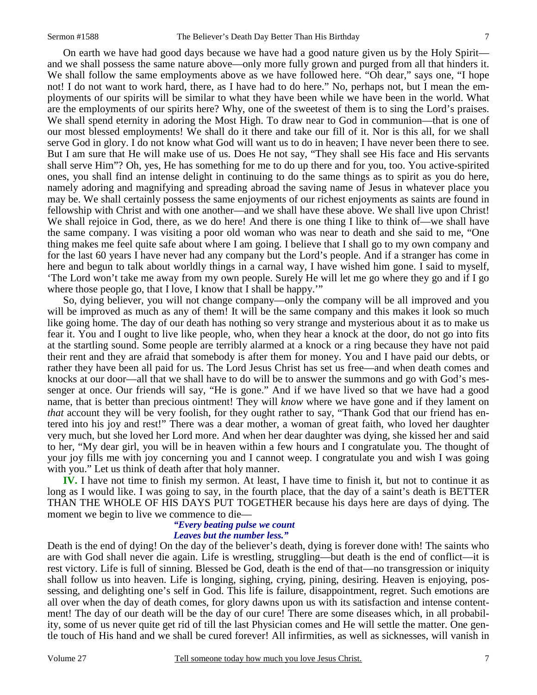On earth we have had good days because we have had a good nature given us by the Holy Spirit and we shall possess the same nature above—only more fully grown and purged from all that hinders it. We shall follow the same employments above as we have followed here. "Oh dear," says one, "I hope not! I do not want to work hard, there, as I have had to do here." No, perhaps not, but I mean the employments of our spirits will be similar to what they have been while we have been in the world. What are the employments of our spirits here? Why, one of the sweetest of them is to sing the Lord's praises. We shall spend eternity in adoring the Most High. To draw near to God in communion—that is one of our most blessed employments! We shall do it there and take our fill of it. Nor is this all, for we shall serve God in glory. I do not know what God will want us to do in heaven; I have never been there to see. But I am sure that He will make use of us. Does He not say, "They shall see His face and His servants shall serve Him"? Oh, yes, He has something for me to do up there and for you, too. You active-spirited ones, you shall find an intense delight in continuing to do the same things as to spirit as you do here, namely adoring and magnifying and spreading abroad the saving name of Jesus in whatever place you may be. We shall certainly possess the same enjoyments of our richest enjoyments as saints are found in fellowship with Christ and with one another—and we shall have these above. We shall live upon Christ! We shall rejoice in God, there, as we do here! And there is one thing I like to think of—we shall have the same company. I was visiting a poor old woman who was near to death and she said to me, "One thing makes me feel quite safe about where I am going. I believe that I shall go to my own company and for the last 60 years I have never had any company but the Lord's people. And if a stranger has come in here and begun to talk about worldly things in a carnal way, I have wished him gone. I said to myself, 'The Lord won't take me away from my own people. Surely He will let me go where they go and if I go where those people go, that I love, I know that I shall be happy."

 So, dying believer, you will not change company—only the company will be all improved and you will be improved as much as any of them! It will be the same company and this makes it look so much like going home. The day of our death has nothing so very strange and mysterious about it as to make us fear it. You and I ought to live like people, who, when they hear a knock at the door, do not go into fits at the startling sound. Some people are terribly alarmed at a knock or a ring because they have not paid their rent and they are afraid that somebody is after them for money. You and I have paid our debts, or rather they have been all paid for us. The Lord Jesus Christ has set us free—and when death comes and knocks at our door—all that we shall have to do will be to answer the summons and go with God's messenger at once. Our friends will say, "He is gone." And if we have lived so that we have had a good name, that is better than precious ointment! They will *know* where we have gone and if they lament on *that* account they will be very foolish, for they ought rather to say, "Thank God that our friend has entered into his joy and rest!" There was a dear mother, a woman of great faith, who loved her daughter very much, but she loved her Lord more. And when her dear daughter was dying, she kissed her and said to her, "My dear girl, you will be in heaven within a few hours and I congratulate you. The thought of your joy fills me with joy concerning you and I cannot weep. I congratulate you and wish I was going with you." Let us think of death after that holy manner.

**IV.** I have not time to finish my sermon. At least, I have time to finish it, but not to continue it as long as I would like. I was going to say, in the fourth place, that the day of a saint's death is BETTER THAN THE WHOLE OF HIS DAYS PUT TOGETHER because his days here are days of dying. The moment we begin to live we commence to die—

#### *"Every beating pulse we count Leaves but the number less."*

Death is the end of dying! On the day of the believer's death, dying is forever done with! The saints who are with God shall never die again. Life is wrestling, struggling—but death is the end of conflict—it is rest victory. Life is full of sinning. Blessed be God, death is the end of that—no transgression or iniquity shall follow us into heaven. Life is longing, sighing, crying, pining, desiring. Heaven is enjoying, possessing, and delighting one's self in God. This life is failure, disappointment, regret. Such emotions are all over when the day of death comes, for glory dawns upon us with its satisfaction and intense contentment! The day of our death will be the day of our cure! There are some diseases which, in all probability, some of us never quite get rid of till the last Physician comes and He will settle the matter. One gentle touch of His hand and we shall be cured forever! All infirmities, as well as sicknesses, will vanish in